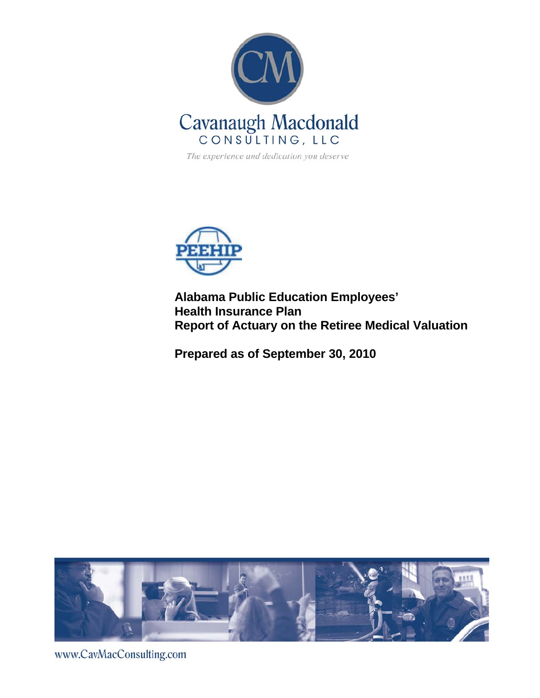

The experience and dedication you deserve



**Alabama Public Education Employees' Health Insurance Plan Report of Actuary on the Retiree Medical Valuation** 

**Prepared as of September 30, 2010** 



www.CavMacConsulting.com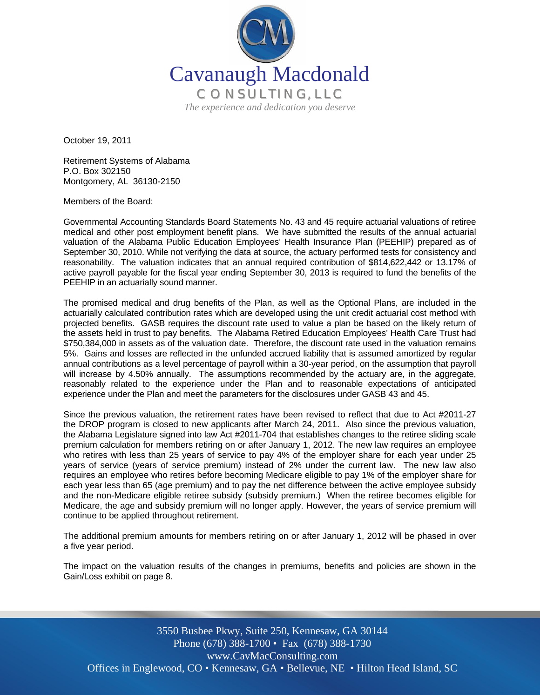

October 19, 2011

Retirement Systems of Alabama P.O. Box 302150 Montgomery, AL 36130-2150

Members of the Board:

Governmental Accounting Standards Board Statements No. 43 and 45 require actuarial valuations of retiree medical and other post employment benefit plans. We have submitted the results of the annual actuarial valuation of the Alabama Public Education Employees' Health Insurance Plan (PEEHIP) prepared as of September 30, 2010. While not verifying the data at source, the actuary performed tests for consistency and reasonability. The valuation indicates that an annual required contribution of \$814,622,442 or 13.17% of active payroll payable for the fiscal year ending September 30, 2013 is required to fund the benefits of the PEEHIP in an actuarially sound manner.

The promised medical and drug benefits of the Plan, as well as the Optional Plans, are included in the actuarially calculated contribution rates which are developed using the unit credit actuarial cost method with projected benefits. GASB requires the discount rate used to value a plan be based on the likely return of the assets held in trust to pay benefits. The Alabama Retired Education Employees' Health Care Trust had \$750,384,000 in assets as of the valuation date. Therefore, the discount rate used in the valuation remains 5%. Gains and losses are reflected in the unfunded accrued liability that is assumed amortized by regular annual contributions as a level percentage of payroll within a 30-year period, on the assumption that payroll will increase by 4.50% annually. The assumptions recommended by the actuary are, in the aggregate, reasonably related to the experience under the Plan and to reasonable expectations of anticipated experience under the Plan and meet the parameters for the disclosures under GASB 43 and 45.

Since the previous valuation, the retirement rates have been revised to reflect that due to Act #2011-27 the DROP program is closed to new applicants after March 24, 2011. Also since the previous valuation, the Alabama Legislature signed into law Act #2011-704 that establishes changes to the retiree sliding scale premium calculation for members retiring on or after January 1, 2012. The new law requires an employee who retires with less than 25 years of service to pay 4% of the employer share for each year under 25 years of service (years of service premium) instead of 2% under the current law. The new law also requires an employee who retires before becoming Medicare eligible to pay 1% of the employer share for each year less than 65 (age premium) and to pay the net difference between the active employee subsidy and the non-Medicare eligible retiree subsidy (subsidy premium.) When the retiree becomes eligible for Medicare, the age and subsidy premium will no longer apply. However, the years of service premium will continue to be applied throughout retirement.

The additional premium amounts for members retiring on or after January 1, 2012 will be phased in over a five year period.

The impact on the valuation results of the changes in premiums, benefits and policies are shown in the Gain/Loss exhibit on page 8.

Offices in Englewood, CO • Kennesaw, GA • Bellevue, NE • Hilton Head Island, SC 3550 Busbee Pkwy, Suite 250, Kennesaw, GA 30144 Phone (678) 388-1700 • Fax (678) 388-1730 www.CavMacConsulting.com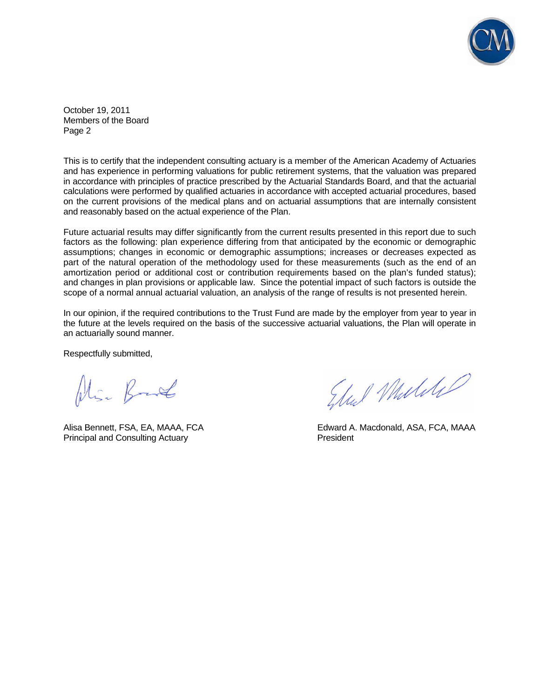

October 19, 2011 Members of the Board Page 2

This is to certify that the independent consulting actuary is a member of the American Academy of Actuaries and has experience in performing valuations for public retirement systems, that the valuation was prepared in accordance with principles of practice prescribed by the Actuarial Standards Board, and that the actuarial calculations were performed by qualified actuaries in accordance with accepted actuarial procedures, based on the current provisions of the medical plans and on actuarial assumptions that are internally consistent and reasonably based on the actual experience of the Plan.

Future actuarial results may differ significantly from the current results presented in this report due to such factors as the following: plan experience differing from that anticipated by the economic or demographic assumptions; changes in economic or demographic assumptions; increases or decreases expected as part of the natural operation of the methodology used for these measurements (such as the end of an amortization period or additional cost or contribution requirements based on the plan's funded status); and changes in plan provisions or applicable law. Since the potential impact of such factors is outside the scope of a normal annual actuarial valuation, an analysis of the range of results is not presented herein.

In our opinion, if the required contributions to the Trust Fund are made by the employer from year to year in the future at the levels required on the basis of the successive actuarial valuations, the Plan will operate in an actuarially sound manner.

Respectfully submitted,

Nie Band

Principal and Consulting Actuary **Principal and Consulting Actuary** President

Elul Mulike

Alisa Bennett, FSA, EA, MAAA, FCA Edward A. Macdonald, ASA, FCA, MAAA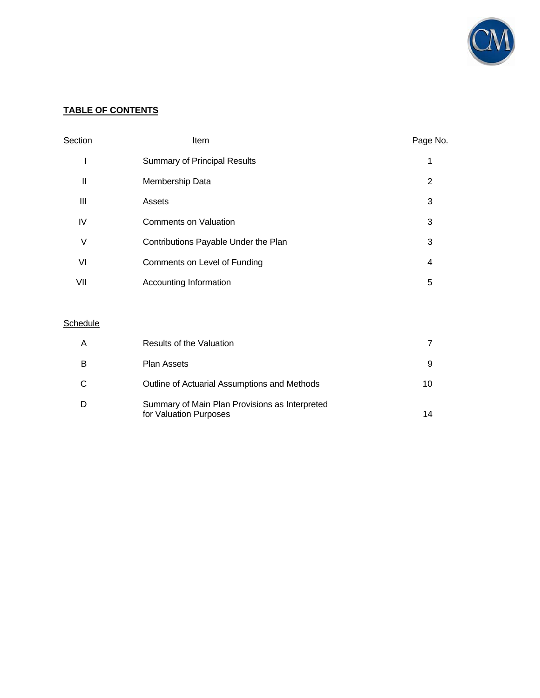

# **TABLE OF CONTENTS**

| Section | Item                                 | Page No. |
|---------|--------------------------------------|----------|
|         | <b>Summary of Principal Results</b>  | 1        |
| Ш       | Membership Data                      | 2        |
| Ш       | Assets                               | 3        |
| IV      | Comments on Valuation                | 3        |
| V       | Contributions Payable Under the Plan | 3        |
| VI      | Comments on Level of Funding         | 4        |
| VII     | Accounting Information               | 5        |

# **Schedule**

| Α | Results of the Valuation                                                 |     |
|---|--------------------------------------------------------------------------|-----|
| В | <b>Plan Assets</b>                                                       | 9   |
|   | Outline of Actuarial Assumptions and Methods                             | 10. |
|   | Summary of Main Plan Provisions as Interpreted<br>for Valuation Purposes | 14  |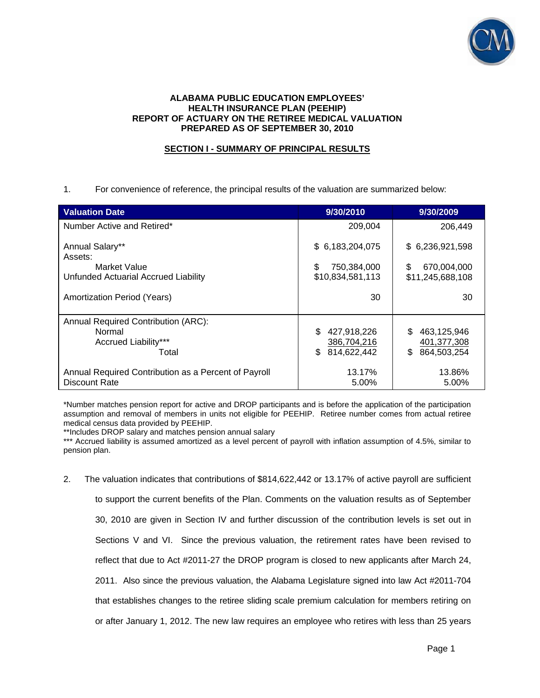

### **ALABAMA PUBLIC EDUCATION EMPLOYEES' HEALTH INSURANCE PLAN (PEEHIP) REPORT OF ACTUARY ON THE RETIREE MEDICAL VALUATION PREPARED AS OF SEPTEMBER 30, 2010**

## **SECTION I - SUMMARY OF PRINCIPAL RESULTS**

1. For convenience of reference, the principal results of the valuation are summarized below:

| <b>Valuation Date</b>                                | 9/30/2010         | 9/30/2009          |
|------------------------------------------------------|-------------------|--------------------|
| Number Active and Retired*                           | 209,004           | 206,449            |
| Annual Salary**<br>Assets:                           | \$ 6,183,204,075  | \$6,236,921,598    |
| Market Value                                         | \$<br>750,384,000 | \$<br>670,004,000  |
| Unfunded Actuarial Accrued Liability                 | \$10,834,581,113  | \$11,245,688,108   |
| Amortization Period (Years)                          | 30                | 30                 |
| Annual Required Contribution (ARC):                  |                   |                    |
| Normal                                               | \$<br>427,918,226 | \$<br>463,125,946  |
| Accrued Liability***                                 | 386,704,216       | 401,377,308        |
| Total                                                | \$<br>814,622,442 | 864,503,254<br>\$. |
| Annual Required Contribution as a Percent of Payroll | 13.17%            | 13.86%             |
| <b>Discount Rate</b>                                 | 5.00%             | 5.00%              |

\*Number matches pension report for active and DROP participants and is before the application of the participation assumption and removal of members in units not eligible for PEEHIP. Retiree number comes from actual retiree medical census data provided by PEEHIP.

\*\*Includes DROP salary and matches pension annual salary

\*\*\* Accrued liability is assumed amortized as a level percent of payroll with inflation assumption of 4.5%, similar to pension plan.

2. The valuation indicates that contributions of \$814,622,442 or 13.17% of active payroll are sufficient to support the current benefits of the Plan. Comments on the valuation results as of September 30, 2010 are given in Section IV and further discussion of the contribution levels is set out in Sections V and VI. Since the previous valuation, the retirement rates have been revised to reflect that due to Act #2011-27 the DROP program is closed to new applicants after March 24, 2011. Also since the previous valuation, the Alabama Legislature signed into law Act #2011-704 that establishes changes to the retiree sliding scale premium calculation for members retiring on or after January 1, 2012. The new law requires an employee who retires with less than 25 years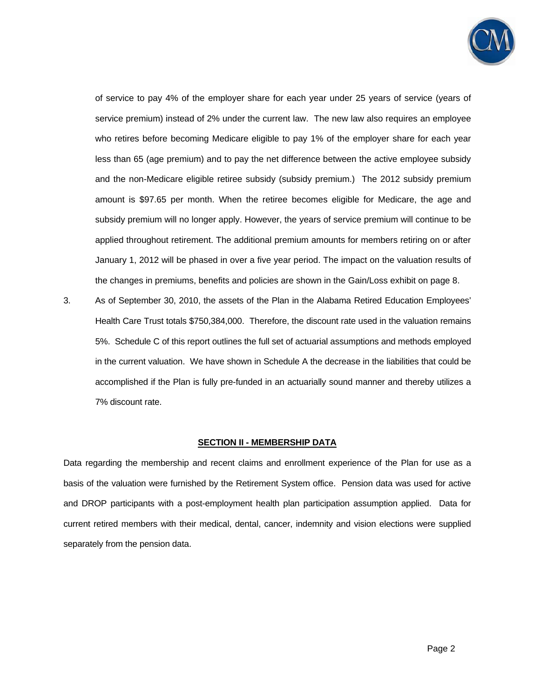

of service to pay 4% of the employer share for each year under 25 years of service (years of service premium) instead of 2% under the current law. The new law also requires an employee who retires before becoming Medicare eligible to pay 1% of the employer share for each year less than 65 (age premium) and to pay the net difference between the active employee subsidy and the non-Medicare eligible retiree subsidy (subsidy premium.) The 2012 subsidy premium amount is \$97.65 per month. When the retiree becomes eligible for Medicare, the age and subsidy premium will no longer apply. However, the years of service premium will continue to be applied throughout retirement. The additional premium amounts for members retiring on or after January 1, 2012 will be phased in over a five year period. The impact on the valuation results of the changes in premiums, benefits and policies are shown in the Gain/Loss exhibit on page 8.

3. As of September 30, 2010, the assets of the Plan in the Alabama Retired Education Employees' Health Care Trust totals \$750,384,000. Therefore, the discount rate used in the valuation remains 5%. Schedule C of this report outlines the full set of actuarial assumptions and methods employed in the current valuation. We have shown in Schedule A the decrease in the liabilities that could be accomplished if the Plan is fully pre-funded in an actuarially sound manner and thereby utilizes a 7% discount rate.

#### **SECTION II - MEMBERSHIP DATA**

Data regarding the membership and recent claims and enrollment experience of the Plan for use as a basis of the valuation were furnished by the Retirement System office. Pension data was used for active and DROP participants with a post-employment health plan participation assumption applied. Data for current retired members with their medical, dental, cancer, indemnity and vision elections were supplied separately from the pension data.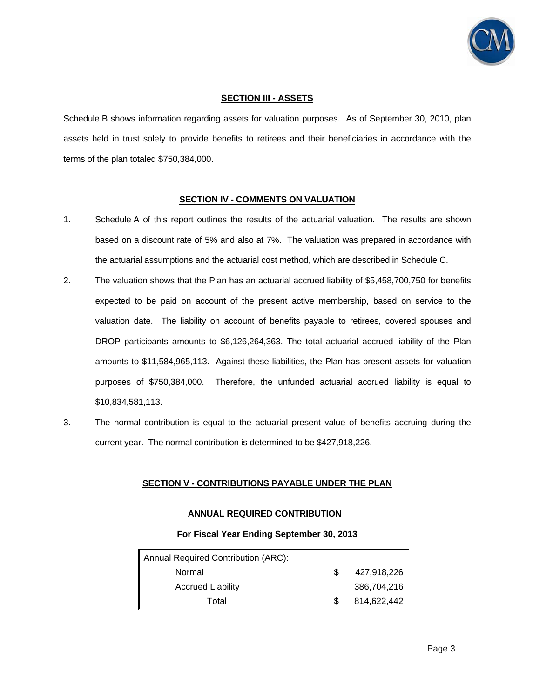

## **SECTION III - ASSETS**

Schedule B shows information regarding assets for valuation purposes. As of September 30, 2010, plan assets held in trust solely to provide benefits to retirees and their beneficiaries in accordance with the terms of the plan totaled \$750,384,000.

### **SECTION IV - COMMENTS ON VALUATION**

- 1. Schedule A of this report outlines the results of the actuarial valuation. The results are shown based on a discount rate of 5% and also at 7%. The valuation was prepared in accordance with the actuarial assumptions and the actuarial cost method, which are described in Schedule C.
- 2. The valuation shows that the Plan has an actuarial accrued liability of \$5,458,700,750 for benefits expected to be paid on account of the present active membership, based on service to the valuation date. The liability on account of benefits payable to retirees, covered spouses and DROP participants amounts to \$6,126,264,363. The total actuarial accrued liability of the Plan amounts to \$11,584,965,113. Against these liabilities, the Plan has present assets for valuation purposes of \$750,384,000. Therefore, the unfunded actuarial accrued liability is equal to \$10,834,581,113.
- 3. The normal contribution is equal to the actuarial present value of benefits accruing during the current year. The normal contribution is determined to be \$427,918,226.

### **SECTION V - CONTRIBUTIONS PAYABLE UNDER THE PLAN**

### **ANNUAL REQUIRED CONTRIBUTION**

#### **For Fiscal Year Ending September 30, 2013**

| Annual Required Contribution (ARC): |  |             |  |
|-------------------------------------|--|-------------|--|
| Normal                              |  | 427,918,226 |  |
| <b>Accrued Liability</b>            |  | 386,704,216 |  |
| Total                               |  | 814,622,442 |  |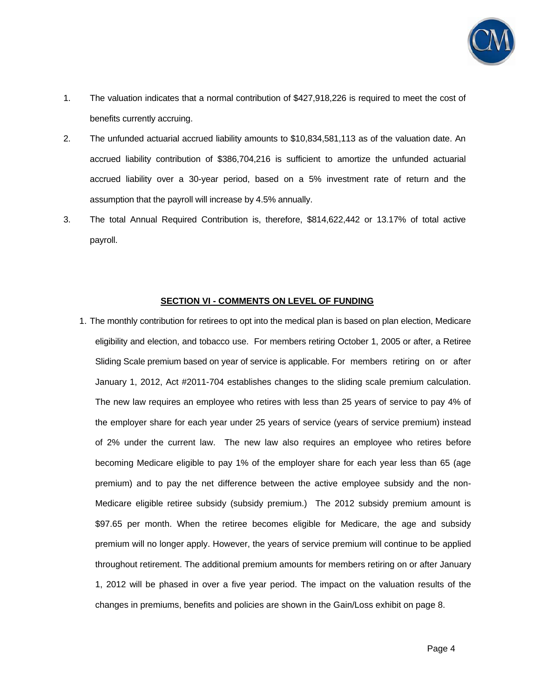

- 1. The valuation indicates that a normal contribution of \$427,918,226 is required to meet the cost of benefits currently accruing.
- 2. The unfunded actuarial accrued liability amounts to \$10,834,581,113 as of the valuation date. An accrued liability contribution of \$386,704,216 is sufficient to amortize the unfunded actuarial accrued liability over a 30-year period, based on a 5% investment rate of return and the assumption that the payroll will increase by 4.5% annually.
- 3. The total Annual Required Contribution is, therefore, \$814,622,442 or 13.17% of total active payroll.

#### **SECTION VI - COMMENTS ON LEVEL OF FUNDING**

1. The monthly contribution for retirees to opt into the medical plan is based on plan election, Medicare eligibility and election, and tobacco use. For members retiring October 1, 2005 or after, a Retiree Sliding Scale premium based on year of service is applicable. For members retiring on or after January 1, 2012, Act #2011-704 establishes changes to the sliding scale premium calculation. The new law requires an employee who retires with less than 25 years of service to pay 4% of the employer share for each year under 25 years of service (years of service premium) instead of 2% under the current law. The new law also requires an employee who retires before becoming Medicare eligible to pay 1% of the employer share for each year less than 65 (age premium) and to pay the net difference between the active employee subsidy and the non-Medicare eligible retiree subsidy (subsidy premium.) The 2012 subsidy premium amount is \$97.65 per month. When the retiree becomes eligible for Medicare, the age and subsidy premium will no longer apply. However, the years of service premium will continue to be applied throughout retirement. The additional premium amounts for members retiring on or after January 1, 2012 will be phased in over a five year period. The impact on the valuation results of the changes in premiums, benefits and policies are shown in the Gain/Loss exhibit on page 8.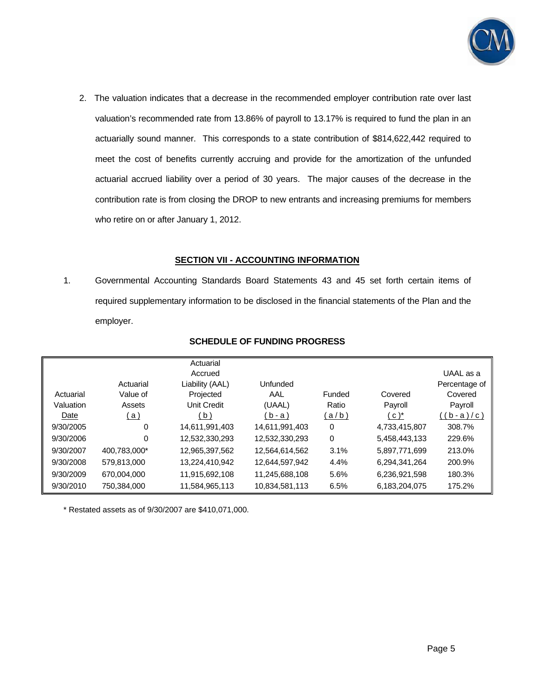

2. The valuation indicates that a decrease in the recommended employer contribution rate over last valuation's recommended rate from 13.86% of payroll to 13.17% is required to fund the plan in an actuarially sound manner. This corresponds to a state contribution of \$814,622,442 required to meet the cost of benefits currently accruing and provide for the amortization of the unfunded actuarial accrued liability over a period of 30 years. The major causes of the decrease in the contribution rate is from closing the DROP to new entrants and increasing premiums for members who retire on or after January 1, 2012.

### **SECTION VII - ACCOUNTING INFORMATION**

1. Governmental Accounting Standards Board Statements 43 and 45 set forth certain items of required supplementary information to be disclosed in the financial statements of the Plan and the employer.

|           |              | Actuarial          |                |        |               |               |
|-----------|--------------|--------------------|----------------|--------|---------------|---------------|
|           |              | Accrued            |                |        |               | UAAL as a     |
|           | Actuarial    | Liability (AAL)    | Unfunded       |        |               | Percentage of |
| Actuarial | Value of     | Projected          | AAL            | Funded | Covered       | Covered       |
| Valuation | Assets       | <b>Unit Credit</b> | (UAAL)         | Ratio  | Payroll       | Payroll       |
| Date      | ( a )        | <u>(b)</u>         | $(b-a)$        | (a/b)  | $(c)^*$       | ((b-a)/c)     |
| 9/30/2005 | 0            | 14,611,991,403     | 14,611,991,403 | 0      | 4,733,415,807 | 308.7%        |
| 9/30/2006 | $\Omega$     | 12,532,330,293     | 12,532,330,293 | 0      | 5,458,443,133 | 229.6%        |
| 9/30/2007 | 400.783.000* | 12,965,397,562     | 12,564,614,562 | 3.1%   | 5,897,771,699 | 213.0%        |
| 9/30/2008 | 579,813,000  | 13,224,410,942     | 12,644,597,942 | 4.4%   | 6,294,341,264 | 200.9%        |
| 9/30/2009 | 670.004.000  | 11,915,692,108     | 11,245,688,108 | 5.6%   | 6,236,921,598 | 180.3%        |
| 9/30/2010 | 750.384.000  | 11,584,965,113     | 10,834,581,113 | 6.5%   | 6,183,204,075 | 175.2%        |

# **SCHEDULE OF FUNDING PROGRESS**

\* Restated assets as of 9/30/2007 are \$410,071,000.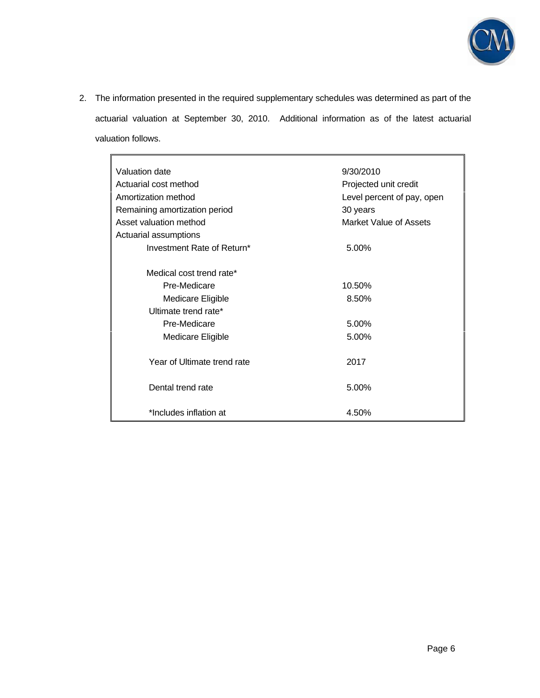

2. The information presented in the required supplementary schedules was determined as part of the actuarial valuation at September 30, 2010. Additional information as of the latest actuarial valuation follows.

| Valuation date                | 9/30/2010                  |
|-------------------------------|----------------------------|
| Actuarial cost method         | Projected unit credit      |
| Amortization method           | Level percent of pay, open |
| Remaining amortization period | 30 years                   |
| Asset valuation method        | Market Value of Assets     |
| Actuarial assumptions         |                            |
| Investment Rate of Return*    | 5.00%                      |
| Medical cost trend rate*      |                            |
| Pre-Medicare                  | 10.50%                     |
| Medicare Eligible             | 8.50%                      |
| Ultimate trend rate*          |                            |
| Pre-Medicare                  | 5.00%                      |
| Medicare Eligible             | 5.00%                      |
| Year of Ultimate trend rate   | 2017                       |
| Dental trend rate             | 5.00%                      |
| *Includes inflation at        | 4.50%                      |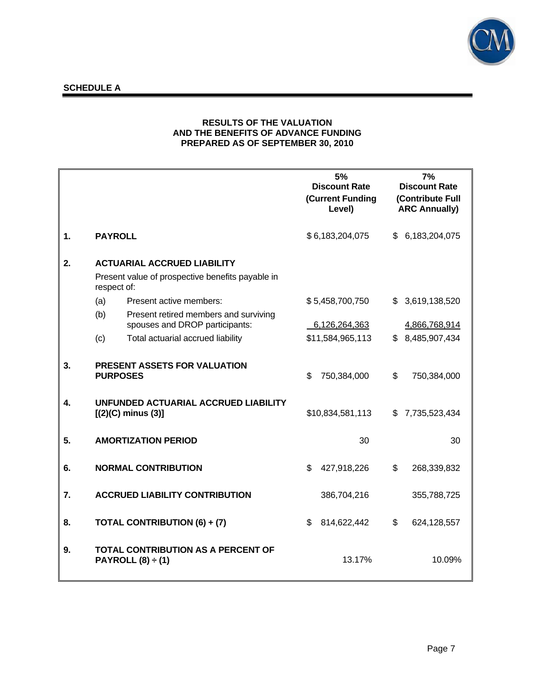

# **SCHEDULE A**

### **RESULTS OF THE VALUATION AND THE BENEFITS OF ADVANCE FUNDING PREPARED AS OF SEPTEMBER 30, 2010**

|    |                 |                                                                         | 5%<br><b>Discount Rate</b><br>(Current Funding<br>Level) | 7%<br><b>Discount Rate</b><br>(Contribute Full<br><b>ARC Annually)</b> |
|----|-----------------|-------------------------------------------------------------------------|----------------------------------------------------------|------------------------------------------------------------------------|
| 1. | <b>PAYROLL</b>  |                                                                         | \$6,183,204,075                                          | \$<br>6,183,204,075                                                    |
| 2. |                 | <b>ACTUARIAL ACCRUED LIABILITY</b>                                      |                                                          |                                                                        |
|    | respect of:     | Present value of prospective benefits payable in                        |                                                          |                                                                        |
|    | (a)             | Present active members:                                                 | \$5,458,700,750                                          | \$3,619,138,520                                                        |
|    | (b)             | Present retired members and surviving<br>spouses and DROP participants: | 6,126,264,363                                            | 4,866,768,914                                                          |
|    | (c)             | Total actuarial accrued liability                                       | \$11,584,965,113                                         | \$8,485,907,434                                                        |
| 3. | <b>PURPOSES</b> | PRESENT ASSETS FOR VALUATION                                            | \$<br>750,384,000                                        | \$<br>750,384,000                                                      |
| 4. |                 | UNFUNDED ACTUARIAL ACCRUED LIABILITY<br>$[(2)(C)$ minus $(3)]$          | \$10,834,581,113                                         | \$<br>7,735,523,434                                                    |
| 5. |                 | <b>AMORTIZATION PERIOD</b>                                              | 30                                                       | 30                                                                     |
| 6. |                 | <b>NORMAL CONTRIBUTION</b>                                              | \$<br>427,918,226                                        | \$<br>268,339,832                                                      |
| 7. |                 | <b>ACCRUED LIABILITY CONTRIBUTION</b>                                   | 386,704,216                                              | 355,788,725                                                            |
| 8. |                 | <b>TOTAL CONTRIBUTION (6) + (7)</b>                                     | \$<br>814,622,442                                        | \$<br>624,128,557                                                      |
| 9. |                 | <b>TOTAL CONTRIBUTION AS A PERCENT OF</b><br><b>PAYROLL (8) ÷ (1)</b>   | 13.17%                                                   | 10.09%                                                                 |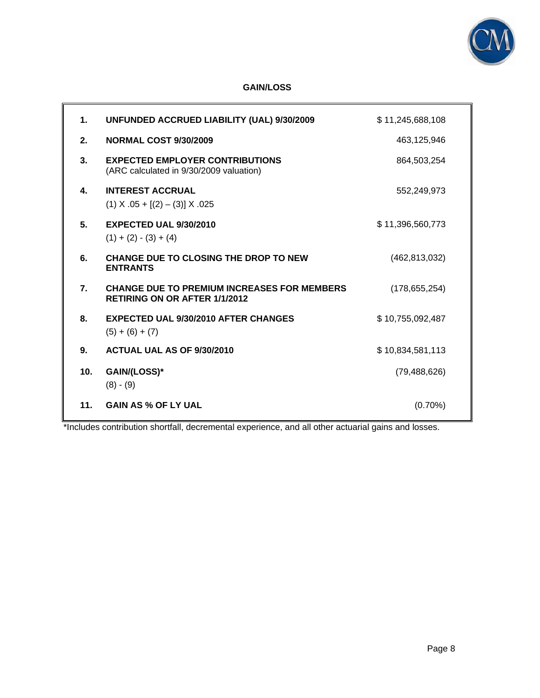

# **GAIN/LOSS**

| 1.               | UNFUNDED ACCRUED LIABILITY (UAL) 9/30/2009                                                 | \$11,245,688,108 |
|------------------|--------------------------------------------------------------------------------------------|------------------|
| 2.               | <b>NORMAL COST 9/30/2009</b>                                                               | 463,125,946      |
| 3.               | <b>EXPECTED EMPLOYER CONTRIBUTIONS</b><br>(ARC calculated in 9/30/2009 valuation)          | 864,503,254      |
| $\mathbf{4}$     | <b>INTEREST ACCRUAL</b><br>$(1)$ X $.05 + [(2) - (3)]$ X $.025$                            | 552,249,973      |
| 5.               | EXPECTED UAL 9/30/2010<br>$(1) + (2) - (3) + (4)$                                          | \$11,396,560,773 |
| 6.               | <b>CHANGE DUE TO CLOSING THE DROP TO NEW</b><br><b>ENTRANTS</b>                            | (462, 813, 032)  |
| $\overline{7}$ . | <b>CHANGE DUE TO PREMIUM INCREASES FOR MEMBERS</b><br><b>RETIRING ON OR AFTER 1/1/2012</b> | (178, 655, 254)  |
| 8.               | <b>EXPECTED UAL 9/30/2010 AFTER CHANGES</b><br>$(5) + (6) + (7)$                           | \$10,755,092,487 |
| 9.               | <b>ACTUAL UAL AS OF 9/30/2010</b>                                                          | \$10,834,581,113 |
| 10 <sub>1</sub>  | GAIN/(LOSS)*<br>$(8) - (9)$                                                                | (79, 488, 626)   |
| 11.              | <b>GAIN AS % OF LY UAL</b>                                                                 | $(0.70\%)$       |

\*Includes contribution shortfall, decremental experience, and all other actuarial gains and losses.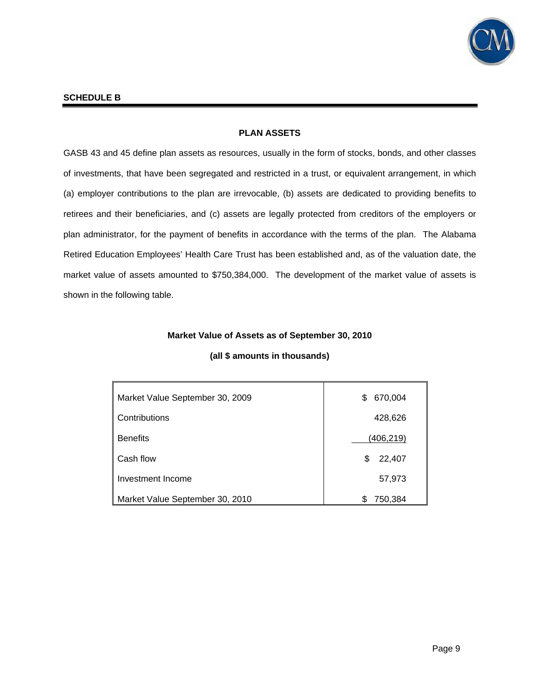

### **SCHEDULE B**

### **PLAN ASSETS**

GASB 43 and 45 define plan assets as resources, usually in the form of stocks, bonds, and other classes of investments, that have been segregated and restricted in a trust, or equivalent arrangement, in which (a) employer contributions to the plan are irrevocable, (b) assets are dedicated to providing benefits to retirees and their beneficiaries, and (c) assets are legally protected from creditors of the employers or plan administrator, for the payment of benefits in accordance with the terms of the plan. The Alabama Retired Education Employees' Health Care Trust has been established and, as of the valuation date, the market value of assets amounted to \$750,384,000. The development of the market value of assets is shown in the following table.

### **Market Value of Assets as of September 30, 2010**

| Market Value September 30, 2009 | 670,004<br>\$    |
|---------------------------------|------------------|
| Contributions                   | 428,626          |
| <b>Benefits</b>                 | <u>(406,219)</u> |
| Cash flow                       | 22,407<br>\$     |
| Investment Income               | 57,973           |
| Market Value September 30, 2010 | 750,384<br>S     |

### **(all \$ amounts in thousands)**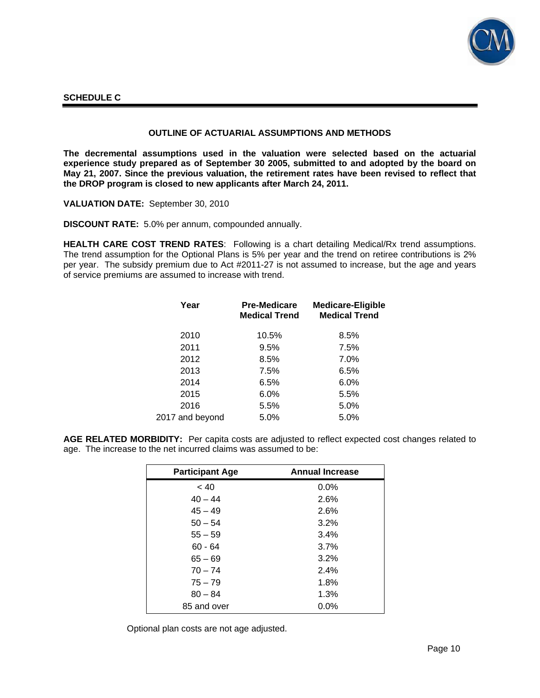

#### **SCHEDULE C**

### **OUTLINE OF ACTUARIAL ASSUMPTIONS AND METHODS**

**The decremental assumptions used in the valuation were selected based on the actuarial experience study prepared as of September 30 2005, submitted to and adopted by the board on May 21, 2007. Since the previous valuation, the retirement rates have been revised to reflect that the DROP program is closed to new applicants after March 24, 2011.** 

**VALUATION DATE:** September 30, 2010

**DISCOUNT RATE:** 5.0% per annum, compounded annually.

**HEALTH CARE COST TREND RATES**: Following is a chart detailing Medical/Rx trend assumptions. The trend assumption for the Optional Plans is 5% per year and the trend on retiree contributions is 2% per year. The subsidy premium due to Act #2011-27 is not assumed to increase, but the age and years of service premiums are assumed to increase with trend.

| Year            | <b>Pre-Medicare</b><br><b>Medical Trend</b> | <b>Medicare-Eligible</b><br><b>Medical Trend</b> |
|-----------------|---------------------------------------------|--------------------------------------------------|
| 2010            | 10.5%                                       | 8.5%                                             |
| 2011            | 9.5%                                        | 7.5%                                             |
| 2012            | 8.5%                                        | 7.0%                                             |
| 2013            | 7.5%                                        | 6.5%                                             |
| 2014            | 6.5%                                        | 6.0%                                             |
| 2015            | 6.0%                                        | 5.5%                                             |
| 2016            | 5.5%                                        | 5.0%                                             |
| 2017 and beyond | 5.0%                                        | 5.0%                                             |

**AGE RELATED MORBIDITY:** Per capita costs are adjusted to reflect expected cost changes related to age. The increase to the net incurred claims was assumed to be:

| <b>Participant Age</b> | <b>Annual Increase</b> |
|------------------------|------------------------|
| ~< 40                  | 0.0%                   |
| $40 - 44$              | 2.6%                   |
| $45 - 49$              | 2.6%                   |
| $50 - 54$              | 3.2%                   |
| $55 - 59$              | 3.4%                   |
| $60 - 64$              | 3.7%                   |
| $65 - 69$              | 3.2%                   |
| $70 - 74$              | 2.4%                   |
| $75 - 79$              | 1.8%                   |
| $80 - 84$              | 1.3%                   |
| 85 and over            | $0.0\%$                |

Optional plan costs are not age adjusted.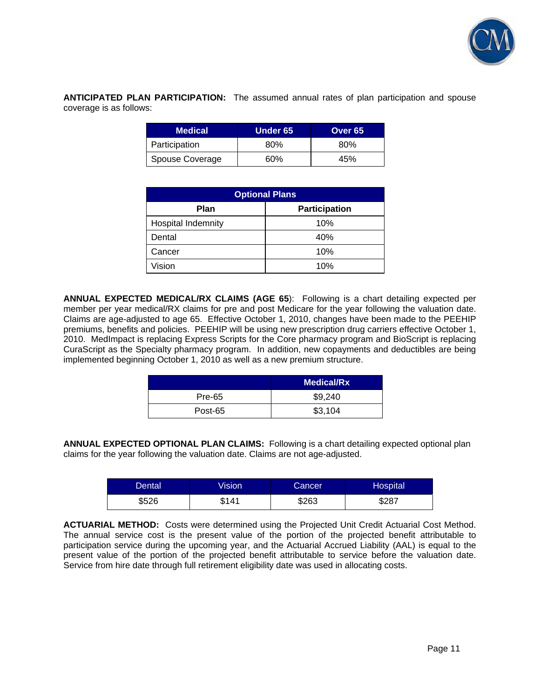

**ANTICIPATED PLAN PARTICIPATION:** The assumed annual rates of plan participation and spouse coverage is as follows:

| <b>Medical</b>  | Under 65 | Over 65 |
|-----------------|----------|---------|
| Participation   | 80%      | 80%     |
| Spouse Coverage | 60%      | 45%     |

| <b>Optional Plans</b> |               |  |
|-----------------------|---------------|--|
| <b>Plan</b>           | Participation |  |
| Hospital Indemnity    | 10%           |  |
| Dental                | 40%           |  |
| Cancer                | 10%           |  |
| Vision                | 10%           |  |

**ANNUAL EXPECTED MEDICAL/RX CLAIMS (AGE 65**): Following is a chart detailing expected per member per year medical/RX claims for pre and post Medicare for the year following the valuation date. Claims are age-adjusted to age 65. Effective October 1, 2010, changes have been made to the PEEHIP premiums, benefits and policies. PEEHIP will be using new prescription drug carriers effective October 1, 2010. MedImpact is replacing Express Scripts for the Core pharmacy program and BioScript is replacing CuraScript as the Specialty pharmacy program. In addition, new copayments and deductibles are being implemented beginning October 1, 2010 as well as a new premium structure.

|               | <b>Medical/Rx</b> |
|---------------|-------------------|
| <b>Pre-65</b> | \$9,240           |
| Post-65       | \$3,104           |

**ANNUAL EXPECTED OPTIONAL PLAN CLAIMS:** Following is a chart detailing expected optional plan claims for the year following the valuation date. Claims are not age-adjusted.

| Dentalˈ | Vision | <b>Cancer</b> | <b>Hospital</b> |
|---------|--------|---------------|-----------------|
| \$526   | \$141  | \$263         | \$287           |

**ACTUARIAL METHOD:** Costs were determined using the Projected Unit Credit Actuarial Cost Method. The annual service cost is the present value of the portion of the projected benefit attributable to participation service during the upcoming year, and the Actuarial Accrued Liability (AAL) is equal to the present value of the portion of the projected benefit attributable to service before the valuation date. Service from hire date through full retirement eligibility date was used in allocating costs.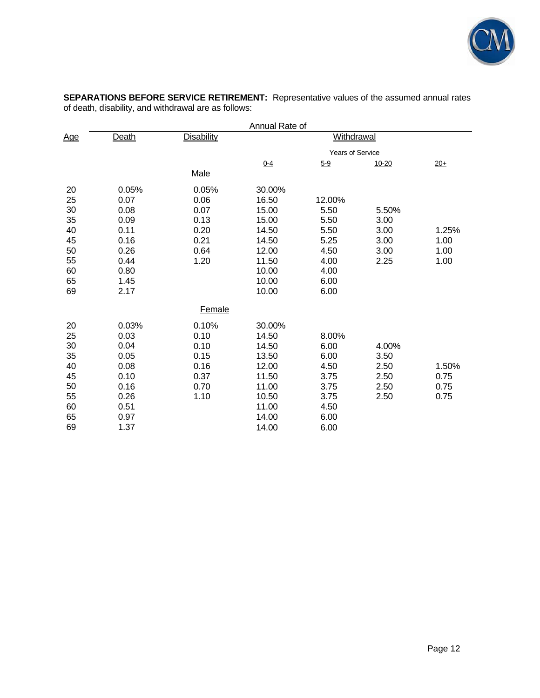

**SEPARATIONS BEFORE SERVICE RETIREMENT:** Representative values of the assumed annual rates of death, disability, and withdrawal are as follows:

|            |       |                   | Annual Rate of |                         |           |       |
|------------|-------|-------------------|----------------|-------------------------|-----------|-------|
| <u>Age</u> | Death | <b>Disability</b> |                | Withdrawal              |           |       |
|            |       |                   |                | <b>Years of Service</b> |           |       |
|            |       |                   | $0 - 4$        | $5 - 9$                 | $10 - 20$ | $20+$ |
|            |       | Male              |                |                         |           |       |
| 20         | 0.05% | 0.05%             | 30.00%         |                         |           |       |
| 25         | 0.07  | 0.06              | 16.50          | 12.00%                  |           |       |
| 30         | 0.08  | 0.07              | 15.00          | 5.50                    | 5.50%     |       |
| 35         | 0.09  | 0.13              | 15.00          | 5.50                    | 3.00      |       |
| 40         | 0.11  | 0.20              | 14.50          | 5.50                    | 3.00      | 1.25% |
| 45         | 0.16  | 0.21              | 14.50          | 5.25                    | 3.00      | 1.00  |
| 50         | 0.26  | 0.64              | 12.00          | 4.50                    | 3.00      | 1.00  |
| 55         | 0.44  | 1.20              | 11.50          | 4.00                    | 2.25      | 1.00  |
| 60         | 0.80  |                   | 10.00          | 4.00                    |           |       |
| 65         | 1.45  |                   | 10.00          | 6.00                    |           |       |
| 69         | 2.17  |                   | 10.00          | 6.00                    |           |       |
|            |       | Female            |                |                         |           |       |
| 20         | 0.03% | 0.10%             | 30.00%         |                         |           |       |
| 25         | 0.03  | 0.10              | 14.50          | 8.00%                   |           |       |
| 30         | 0.04  | 0.10              | 14.50          | 6.00                    | 4.00%     |       |
| 35         | 0.05  | 0.15              | 13.50          | 6.00                    | 3.50      |       |
| 40         | 0.08  | 0.16              | 12.00          | 4.50                    | 2.50      | 1.50% |
| 45         | 0.10  | 0.37              | 11.50          | 3.75                    | 2.50      | 0.75  |
| 50         | 0.16  | 0.70              | 11.00          | 3.75                    | 2.50      | 0.75  |
| 55         | 0.26  | 1.10              | 10.50          | 3.75                    | 2.50      | 0.75  |
| 60         | 0.51  |                   | 11.00          | 4.50                    |           |       |
| 65         | 0.97  |                   | 14.00          | 6.00                    |           |       |
| 69         | 1.37  |                   | 14.00          | 6.00                    |           |       |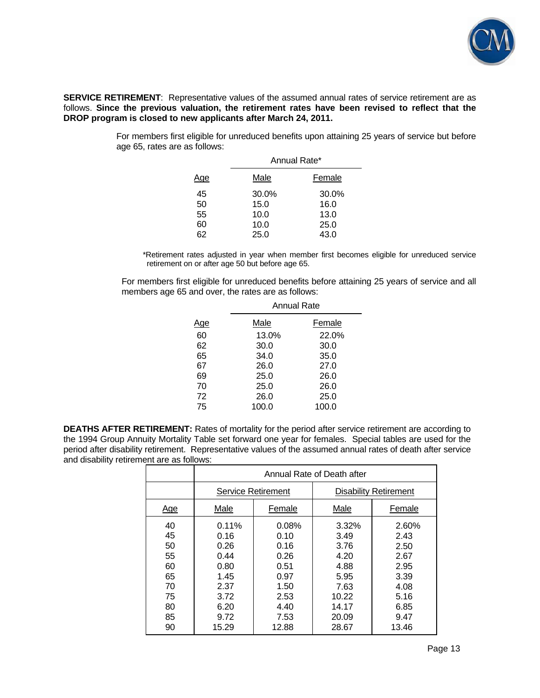

**SERVICE RETIREMENT**: Representative values of the assumed annual rates of service retirement are as follows. **Since the previous valuation, the retirement rates have been revised to reflect that the DROP program is closed to new applicants after March 24, 2011.**

> For members first eligible for unreduced benefits upon attaining 25 years of service but before age 65, rates are as follows:

|          | Annual Rate*  |               |  |
|----------|---------------|---------------|--|
| Age      | Male          | Female        |  |
| 45<br>50 | 30.0%<br>15.0 | 30.0%<br>16.0 |  |
| 55       | 10.0          | 13.0          |  |
| 60       | 10.0          | 25.0          |  |
| 62       | 25.0          | 43.0          |  |

\*Retirement rates adjusted in year when member first becomes eligible for unreduced service retirement on or after age 50 but before age 65.

For members first eligible for unreduced benefits before attaining 25 years of service and all members age 65 and over, the rates are as follows:

|     | <b>Annual Rate</b> |        |  |
|-----|--------------------|--------|--|
| Age | Male               | Female |  |
| 60  | 13.0%              | 22.0%  |  |
| 62  | 30.0               | 30.0   |  |
| 65  | 34.0               | 35.0   |  |
| 67  | 26.0               | 27.0   |  |
| 69  | 25.0               | 26.0   |  |
| 70  | 25.0               | 26.0   |  |
| 72  | 26.0               | 25.0   |  |
| 75  | 100.0              | 100.0  |  |

**DEATHS AFTER RETIREMENT:** Rates of mortality for the period after service retirement are according to the 1994 Group Annuity Mortality Table set forward one year for females. Special tables are used for the period after disability retirement. Representative values of the assumed annual rates of death after service and disability retirement are as follows:

|            | Annual Rate of Death after |        |                              |        |
|------------|----------------------------|--------|------------------------------|--------|
|            | <b>Service Retirement</b>  |        | <b>Disability Retirement</b> |        |
| <u>Age</u> | Male                       | Female | Male                         | Female |
| 40         | $0.11\%$                   | 0.08%  | 3.32%                        | 2.60%  |
| 45         | 0.16                       | 0.10   | 3.49                         | 2.43   |
| 50         | 0.26                       | 0.16   | 3.76                         | 2.50   |
| 55         | 0.44                       | 0.26   | 4.20                         | 2.67   |
| 60         | 0.80                       | 0.51   | 4.88                         | 2.95   |
| 65         | 1.45                       | 0.97   | 5.95                         | 3.39   |
| 70         | 2.37                       | 1.50   | 7.63                         | 4.08   |
| 75         | 3.72                       | 2.53   | 10.22                        | 5.16   |
| 80         | 6.20                       | 4.40   | 14.17                        | 6.85   |
| 85         | 9.72                       | 7.53   | 20.09                        | 9.47   |
| 90         | 15.29                      | 12.88  | 28.67                        | 13.46  |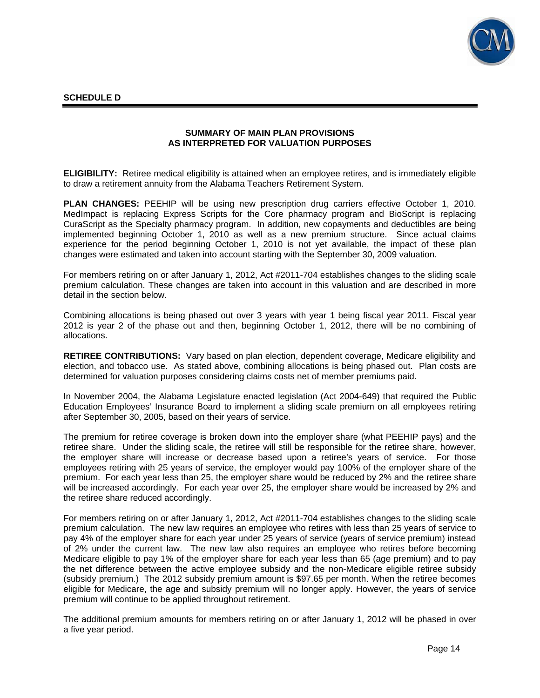

### **SUMMARY OF MAIN PLAN PROVISIONS AS INTERPRETED FOR VALUATION PURPOSES**

**ELIGIBILITY:** Retiree medical eligibility is attained when an employee retires, and is immediately eligible to draw a retirement annuity from the Alabama Teachers Retirement System.

**PLAN CHANGES:** PEEHIP will be using new prescription drug carriers effective October 1, 2010. MedImpact is replacing Express Scripts for the Core pharmacy program and BioScript is replacing CuraScript as the Specialty pharmacy program. In addition, new copayments and deductibles are being implemented beginning October 1, 2010 as well as a new premium structure. Since actual claims experience for the period beginning October 1, 2010 is not yet available, the impact of these plan changes were estimated and taken into account starting with the September 30, 2009 valuation.

For members retiring on or after January 1, 2012, Act #2011-704 establishes changes to the sliding scale premium calculation. These changes are taken into account in this valuation and are described in more detail in the section below.

Combining allocations is being phased out over 3 years with year 1 being fiscal year 2011. Fiscal year 2012 is year 2 of the phase out and then, beginning October 1, 2012, there will be no combining of allocations.

**RETIREE CONTRIBUTIONS:** Vary based on plan election, dependent coverage, Medicare eligibility and election, and tobacco use. As stated above, combining allocations is being phased out. Plan costs are determined for valuation purposes considering claims costs net of member premiums paid.

In November 2004, the Alabama Legislature enacted legislation (Act 2004-649) that required the Public Education Employees' Insurance Board to implement a sliding scale premium on all employees retiring after September 30, 2005, based on their years of service.

The premium for retiree coverage is broken down into the employer share (what PEEHIP pays) and the retiree share. Under the sliding scale, the retiree will still be responsible for the retiree share, however, the employer share will increase or decrease based upon a retiree's years of service. For those employees retiring with 25 years of service, the employer would pay 100% of the employer share of the premium. For each year less than 25, the employer share would be reduced by 2% and the retiree share will be increased accordingly. For each year over 25, the employer share would be increased by 2% and the retiree share reduced accordingly.

For members retiring on or after January 1, 2012, Act #2011-704 establishes changes to the sliding scale premium calculation. The new law requires an employee who retires with less than 25 years of service to pay 4% of the employer share for each year under 25 years of service (years of service premium) instead of 2% under the current law. The new law also requires an employee who retires before becoming Medicare eligible to pay 1% of the employer share for each year less than 65 (age premium) and to pay the net difference between the active employee subsidy and the non-Medicare eligible retiree subsidy (subsidy premium.) The 2012 subsidy premium amount is \$97.65 per month. When the retiree becomes eligible for Medicare, the age and subsidy premium will no longer apply. However, the years of service premium will continue to be applied throughout retirement.

The additional premium amounts for members retiring on or after January 1, 2012 will be phased in over a five year period.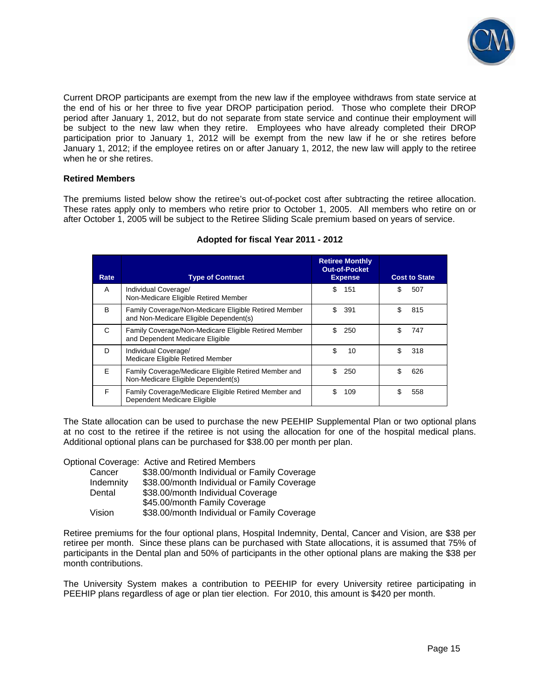

Current DROP participants are exempt from the new law if the employee withdraws from state service at the end of his or her three to five year DROP participation period. Those who complete their DROP period after January 1, 2012, but do not separate from state service and continue their employment will be subject to the new law when they retire. Employees who have already completed their DROP participation prior to January 1, 2012 will be exempt from the new law if he or she retires before January 1, 2012; if the employee retires on or after January 1, 2012, the new law will apply to the retiree when he or she retires.

### **Retired Members**

The premiums listed below show the retiree's out-of-pocket cost after subtracting the retiree allocation. These rates apply only to members who retire prior to October 1, 2005. All members who retire on or after October 1, 2005 will be subject to the Retiree Sliding Scale premium based on years of service.

| Rate         | <b>Type of Contract</b>                              | <b>Retiree Monthly</b><br><b>Out-of-Pocket</b><br><b>Expense</b> | <b>Cost to State</b> |
|--------------|------------------------------------------------------|------------------------------------------------------------------|----------------------|
| A            | Individual Coverage/                                 | \$                                                               | \$                   |
|              | Non-Medicare Eligible Retired Member                 | 151                                                              | 507                  |
| <sub>B</sub> | Family Coverage/Non-Medicare Eligible Retired Member | \$                                                               | \$                   |
|              | and Non-Medicare Eligible Dependent(s)               | 391                                                              | 815                  |
| C            | Family Coverage/Non-Medicare Eligible Retired Member | \$.                                                              | S                    |
|              | and Dependent Medicare Eligible                      | 250                                                              | 747                  |
| D            | Individual Coverage/                                 | \$                                                               | \$                   |
|              | Medicare Eligible Retired Member                     | 10                                                               | 318                  |
| F            | Family Coverage/Medicare Eligible Retired Member and | \$.                                                              | \$                   |
|              | Non-Medicare Eligible Dependent(s)                   | 250                                                              | 626                  |
| E            | Family Coverage/Medicare Eligible Retired Member and | \$                                                               | \$                   |
|              | Dependent Medicare Eligible                          | 109                                                              | 558                  |

### **Adopted for fiscal Year 2011 - 2012**

The State allocation can be used to purchase the new PEEHIP Supplemental Plan or two optional plans at no cost to the retiree if the retiree is not using the allocation for one of the hospital medical plans. Additional optional plans can be purchased for \$38.00 per month per plan.

Optional Coverage: Active and Retired Members

| Cancer    | \$38.00/month Individual or Family Coverage |
|-----------|---------------------------------------------|
| Indemnity | \$38.00/month Individual or Family Coverage |
| Dental    | \$38.00/month Individual Coverage           |
|           | \$45.00/month Family Coverage               |
| Vision    | \$38.00/month Individual or Family Coverage |

Retiree premiums for the four optional plans, Hospital Indemnity, Dental, Cancer and Vision, are \$38 per retiree per month. Since these plans can be purchased with State allocations, it is assumed that 75% of participants in the Dental plan and 50% of participants in the other optional plans are making the \$38 per month contributions.

The University System makes a contribution to PEEHIP for every University retiree participating in PEEHIP plans regardless of age or plan tier election. For 2010, this amount is \$420 per month.